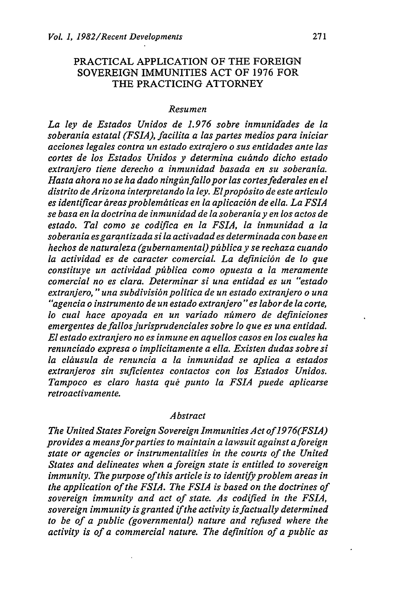## PRACTICAL APPLICATION OF THE FOREIGN SOVEREIGN IMMUNITIES ACT OF 1976 FOR THE PRACTICING ATTORNEY

## *Resumen*

*La ley de Estados Unidos de 1.976 sobre inmunidades de la soberania estatal (FSIA), facilita a las partes medios para iniciar acciones legales contra un estado extrajero o sus entidades ante las cortes de los Estados Unidos y determina cuindo dicho estado extranjero tiene derecho a inmunidad basada en su soberania.* Hasta ahora no se ha dado ningún fallo por las cortes federales en el *distrito de Arizona interpretando la ley. Elprop6sito de este articulo es identificar dreasproblemiticas en la aplicaci6n de ella. La FSIA se basa en la doctrina de inmunidad de la soberania y en los actos de estado. Tal como se codifica en la FSIA, la inmunidad a la soberania esgarantizada si la activadad es determinada con base en hechos de naturaleza (gubernamental)ptblica yse rechaza cuando la actividad es de caracter comercial. La definici6n de lo que constituye un actividad piblica como opuesta a la meramente comercial no es clara. Determinar si una entidad es un "estado extranjero, "una subdivisi6n politica de un estado extranjero o una "agencia* o *instrumento de un estado extranjero" es labor de la corte,* lo cual hace apoyada en un variado número de definiciones *emergentes de fallos jurisprudenciales sobre lo que es una entidad. El estado extranjero no es inmune en aquellos casos en los cuales ha renunciado expresa* o *implicitamente a ella. Existen dudas sobre si* la cláusula de renuncia a la inmunidad se aplica a estados *extranjeros sin suficientes contactos con los Estados Unidos. Tampoco es claro hasta qu6 punto la FSIA puede aplicarse retroactivamente.*

## *Abstract*

*The United States Foreign Sovereign Immunities Act of 1976(FSIA) provides a means forparties to maintain a lawsuit against aforeign state or agencies or instrumentalities in the courts of the United States and delineates when a foreign state is entitled to sovereign immunity. The purpose of this article is to identify problem areas in the application of the FSIA. The FSIA is based on the doctrines of sovereign immunity and act of state. As codified in the FSIA, sovereign immunity is granted if the activity is factually determined to be of a public (governmental) nature and refused where the activity is of a commercial nature. The definition of a public as*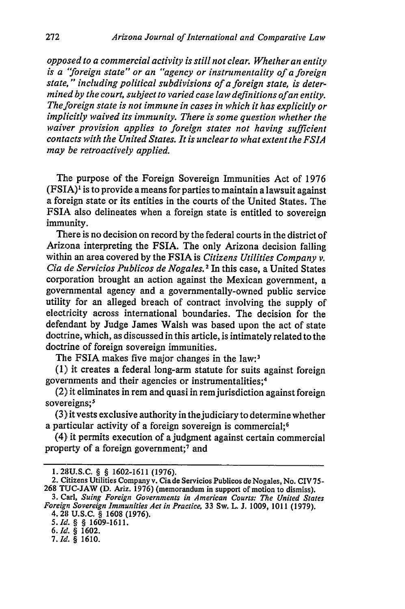*opposed to a commercial activity is still not clear. Whether an entity is a 'foreign state" or an "agency or instrumentality of a foreign state,* **"** *including political subdivisions of a foreign state, is determined by the court, subject to varied case law definitions ofan entity. The foreign state is not immune in cases in which it has explicitly or implicitly waived its immunity. There is some question whether the waiver provision applies to foreign states not having sufficient contacts with the United States. It is unclear to what extent the FSIA may be retroactively applied.*

The purpose of the Foreign Sovereign Immunities Act of 1976 (FSIA)' is to provide a means for parties to maintain a lawsuit against a foreign state or its entities in the courts of the United States. The FSIA also delineates when a foreign state is entitled to sovereign immunity.

There is no decision on record by the federal courts in the district of Arizona interpreting the FSIA. The only Arizona decision falling within an area covered by the FSIA is *Citizens Utilities Company v. Cia de Servicios Publicos de Nogales. 2* In this case, a United States corporation brought an action against the Mexican government, a governmental agency and a governmentally-owned public service utility for an alleged breach of contract involving the supply of electricity across international boundaries. The decision for the defendant by Judge James Walsh was based upon the act of state doctrine, which, as discussed in this article, is intimately related to the doctrine of foreign sovereign immunities.

The FSIA makes five major changes in the law:<sup>3</sup>

(1) it creates a federal long-arm statute for suits against foreign governments and their agencies or instrumentalities; <sup>4</sup>

 $(2)$  it eliminates in rem and quasi in rem jurisdiction against foreign sovereigns;<sup>5</sup>

(3) it vests exclusive authority in the judiciary to determine whether a particular activity of a foreign sovereign is commercial:<sup>6</sup>

 $(4)$  it permits execution of a judgment against certain commercial property of a foreign government;7 and

<sup>1.28</sup>U.S.C. § § 1602-1611 (1976).

<sup>2.</sup> Citizens Utilities Company v. Cia de Servicios Publicos de Nogales, No. CIV 75- 268 TUC-JAW (D. Ariz. 1976) (memorandum in support of motion to dismiss).

<sup>3.</sup> Carl, *Suing Foreign Governments in American Courts: The United States Foreign Sovereign Immunities Act in Practice,* 33 Sw. L. **J.** 1009, 1011 (1979). 4. 213 U.S.C. § 1608 (1976).

<sup>5.</sup>Id. *§ §* 1609-1611.

**<sup>6.</sup>Id.** *§* **1602.**

<sup>7.</sup> Ild. *§* 1610.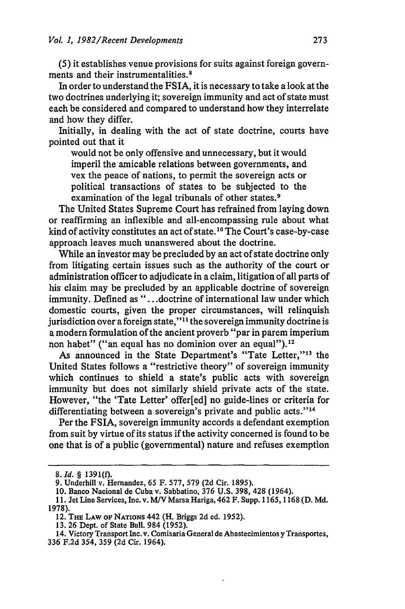(5) it establishes venue provisions for suits against foreign governments and their instrumentalities. <sup>8</sup>

In order to understand the FSIA, it is necessary to take a look at the two doctrines underlying it; sovereign immunity and act of state must each be considered and compared to understand how they interrelate and how they differ.

Initially, in dealing with the act of state doctrine, courts have pointed out that it

would not be only offensive and unnecessary, but it would imperil the amicable relations between governments, and vex the peace of nations, to permit the sovereign acts or political transactions of states to be subjected to the examination of the legal tribunals of other states.<sup>9</sup>

The United States Supreme Court has refrained from laying down or reaffirming an inflexible and all-encompassing rule about what kind of activity constitutes an act of state.<sup>10</sup> The Court's case-by-case approach leaves much unanswered about the doctrine.

While an investor may be precluded by an act of state doctrine only from litigating certain issues such as the authority of the court or administration officer to adjudicate in a claim, litigation of all parts of his claim may be precluded by an applicable doctrine of sovereign immunity. Defined as "...doctrine of international law under which domestic courts, given the proper circumstances, will relinquish jurisdiction over a foreign state,"<sup>11</sup> the sovereign immunity doctrine is a modern formulation of the ancient proverb "par in parem imperium non habet" ("an equal has no dominion over an equal").<sup>12</sup>

As announced in the State Department's "Tate Letter,"<sup>13</sup> the United States follows a "restrictive theory" of sovereign immunity which continues to shield a state's public acts with sovereign immunity but does not similarly shield private acts of the state. However, "the 'Tate Letter' offer[ed] no guide-lines or criteria for differentiating between a sovereign's private and public acts."<sup>14</sup>

Per the FSIA, sovereign immunity accords a defendant exemption from suit by virtue of its status if the activity concerned is found to be one that is of a public (governmental) nature and refuses exemption

*<sup>8.</sup>Id. §* **1391(0.**

<sup>9.</sup> Underhill v. Hernandez, 65 F. 577, 579 (2d Cir. 1895).

<sup>10.</sup> Banco Nacional de Cuba v. Sabbatino, 376 U.S. 398, 428 (1964).

**<sup>11.</sup>** Jet Line Services, Inc. v. *M/V* Marsa Hariga, 462 F. Supp. 1165, 1168 (D. Md. 1978).

<sup>12.</sup> THE LAW oF NATIONS 442 (H. Briggs **2d** ed. 1952).

<sup>13. 26</sup> Dept. of State Bull. 984 (1952).

<sup>14.</sup> Victory Transport Inc. v. Comisaria General de Abastecimientos y Transportes, 336 F.2d 354, 359 (2d Cir. 1964).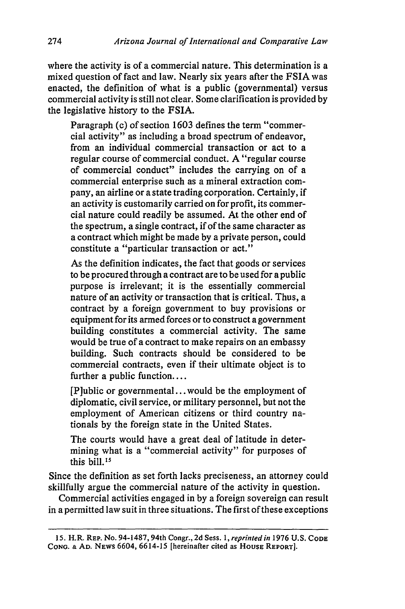where the activity is of a commercial nature. This determination is a mixed question of fact and law. Nearly six years after the FSIA was enacted, the definition of what is a public (governmental) versus commercial activity is still not clear. Some clarification is provided by the legislative history to the FSIA.

Paragraph (c) of section 1603 defines the term "commercial activity" as including a broad spectrum of endeavor, from an individual commercial transaction or act to a regular course of commercial conduct. A "regular course of commercial conduct" includes the carrying on of a commercial enterprise such as a mineral extraction company, an airline or a state trading corporation. Certainly, if an activity is customarily carried on for profit, its commercial nature could readily be assumed. At the other end of the spectrum, a single contract, if of the same character as a contract which might be made by a private person, could constitute a "particular transaction or act."

As the definition indicates, the fact that goods or services to be procured through a contract are to be used for a public purpose is irrelevant; it is the essentially commercial nature of an activity or transaction that is critical. Thus, a contract by a foreign government to buy provisions or equipment for its armed forces or to construct a government building constitutes a commercial activity. The same would be true of a contract to make repairs on an embassy building. Such contracts should be considered to be commercial contracts, even if their ultimate object is to further a public function....

[Plublic or governmental... would be the employment of diplomatic, civil service, or military personnel, but not the employment of American citizens or third country nationals by the foreign state in the United States.

The courts would have a great deal of latitude in determining what is a "commercial activity" for purposes of this bill.<sup>15</sup>

Since the definition as set forth lacks preciseness, an attorney could skillfully argue the commercial nature of the activity in question.

Commercial activities engaged in by a foreign sovereign can result in a permitted law suit in three situations. The first of these exceptions

<sup>15.</sup> H.R. REP. No. 94-1487, 94th Congr., 2d Sess. 1, *reprinted in* 1976 U.S. **CODE** CONG. & AD. NEWS 6604, 6614-15 [hereinafter cited as HOUSE REPORT].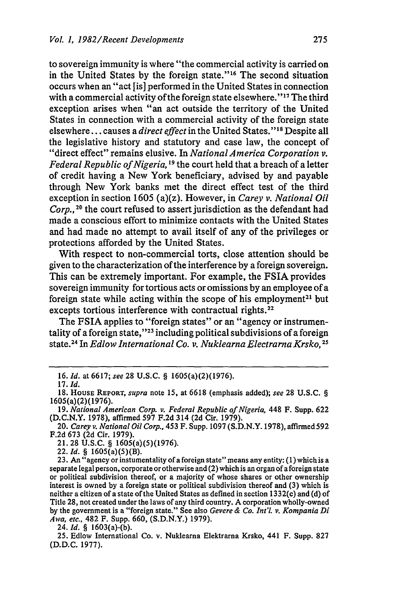to sovereign immunity is where "the commercial activity is carried on in the United States by the foreign state."<sup>16</sup> The second situation occurs when an "act [is] performed in the United States in connection with a commercial activity of the foreign state elsewhere." $17$  The third exception arises when "an act outside the territory of the United States in connection with a commercial activity of the foreign state elsewhere... causes a *direct effect* in the United States."<sup>18</sup> Despite all the legislative history and statutory and case law, the concept of "direct effect" remains elusive. In *National America Corporation v.* Federal Republic of Nigeria, <sup>19</sup> the court held that a breach of a letter of credit having a New York beneficiary, advised by and payable through New York banks met the direct effect test of the third exception in section 1605 (a)(z). However, in *Carey v. National Oil* Corp.,<sup>20</sup> the court refused to assert jurisdiction as the defendant had made a conscious effort to minimize contacts with the United States and had made no attempt to avail itself of any of the privileges or protections afforded by the United States.

With respect to non-commercial torts, close attention should be given to the characterization of the interference by a foreign sovereign. This can be extremely important. For example, the FSIA provides sovereign immunity for tortious acts or omissions by an employee of a foreign state while acting within the scope of his employment<sup>21</sup> but excepts tortious interference with contractual rights.<sup>22</sup>

The FSIA applies to "foreign states" or an "agency or instrumentality of a foreign state," $23$  including political subdivisions of a foreign state.2 4 In *Edlow International Co. v. Nuklearna Electrarna Krsko, <sup>25</sup>*

24. *Id. §* 1603(a)-(b).

<sup>16.</sup> *Id.* at 6617; *see* 28 U.S.C. § 1605(a)(2)(1976).

<sup>17.</sup> *Id.*

<sup>18.</sup> HousE REPORT, *supra* note 15, at 6618 (emphasis added); *see* 28 U.S.C. § 1605(a)(2)(1976).

<sup>19.</sup> *National American Corp. v. Federal Republic of Nigeria,* 448 F. Supp. 622 (D.C.N.Y. 1978), affirmed 597 F.2d 314 (2d Cir. 1979).

<sup>20.</sup> *Carey v. National Oil Corp.,* 453 F. Supp. 1097 (S.D.N.Y. 1978), affirmed 592 F.2d 673 (2d Cir. 1979).

<sup>21. 28</sup> U.S.C. § 1605(a)(5)(1976).

<sup>22.</sup>Id. *§* 1605(a)(5)(B).

<sup>23.</sup> An "agency or instumentality of a foreign state" means any entity: **(1)** which is a separate legal person, corporate or otherwise and (2) which is an organ of a foreign state or political subdivision thereof, or a majority of whose shares or other ownership interest is owned by a foreign state or political subdivision thereof and (3) which is neither a citizen of a state of the United States as defined in section 1332(c) and (d) of Title 28, not created under the laws of any third country. A corporation wholly-owned by the government is a "foreign state." See also *Gevere & Co. Int'l. v. Kompania Di Awa, etc.,* 482 F. Supp. 660, (S.D.N.Y.) 1979).

<sup>25.</sup> Edlow International Co. v. Nuklearna Elektrarna Krsko, 441 F. Supp. 827 (D.D.C. 1977).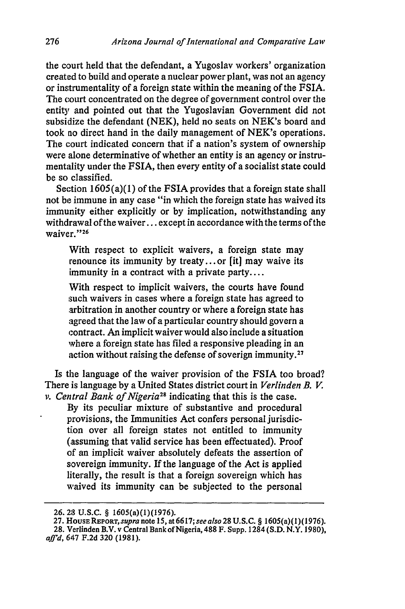the court held that the defendant, a Yugoslav workers' organization created to build and operate a nuclear power plant, was not an agency or instrumentality of a foreign state within the meaning of the FSIA. The court concentrated on the degree of government control over the entity and pointed out that the Yugoslavian Government did not subsidize the defendant (NEK), held no seats on NEK's board and took no direct hand in the daily management of NEK's operations. The court indicated concern that if a nation's system of ownership were alone determinative of whether an entity is an agency or instrumentality under the FSIA, then every entity of a socialist state could be so classified.

Section 1605(a)(1) of the FSIA provides that a foreign state shall not **be** immune in any case "in which the foreign state has waived its immunity either explicitly or by implication, notwithstanding any withdrawal of the waiver... except in accordance with the terms of the waiver."<sup>26</sup>

With respect to explicit waivers, a foreign state may renounce its immunity by treaty.., or [it] may waive its immunity in a contract with a private party....

'With respect to implicit waivers, the courts have found such waivers in cases where a foreign state has agreed to arbitration in another country or where a foreign state has agreed that the law of a particular country should govern a contract. An implicit waiver would also include a situation where a foreign state has filed a responsive pleading in an action without raising the defense of soverign immunity.<sup>27</sup>

Is the language of the waiver provision of the FSIA too broad? There is language by a United States district court in *Verlinden B. V.*

*v. Central Bank of Nigeria*<sup>28</sup> indicating that this is the case. By its peculiar mixture of substantive and procedural provisions, the Immunities Act confers personal jurisdiction over all foreign states not entitled to immunity (assuming that valid service has been effectuated). Proof of an implicit waiver absolutely defeats the assertion of sovereign immunity. If the language of the Act is applied literally, the result is that a foreign sovereign which has waived its immunity can be subjected to the personal

**<sup>26. 23</sup> U.S.C.** § 1605(a)(1)(1976).

<sup>27.</sup> HousaREPoRT, *supra note* **15,** at *6617;see also* 28 U.S.C. § 1605(a)(1)(1976).

<sup>28.</sup> Verlinden B.V. v Central Bank of Nigeria, 488 F. Supp. 1284 **(S.D.** N.Y. 1980), *affd,* 647 F.2d 320 (1981).